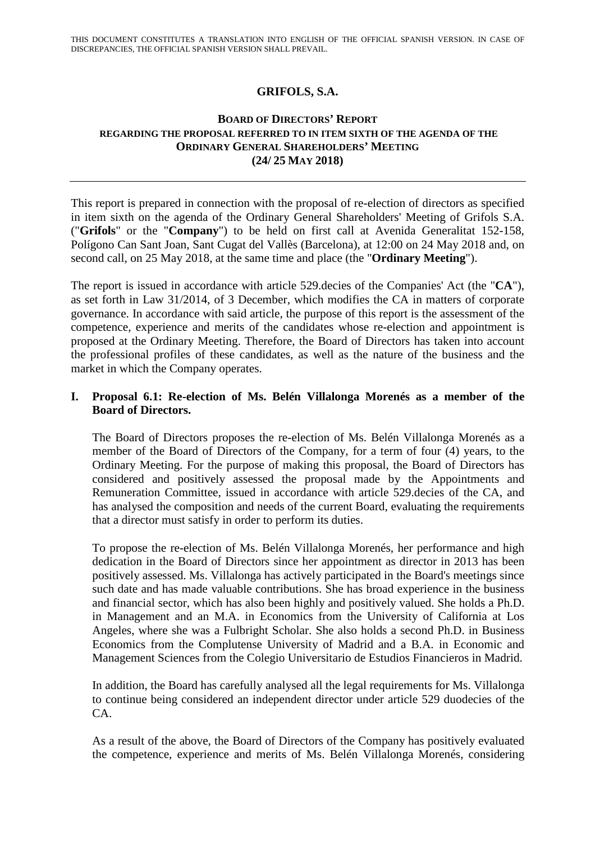## **GRIFOLS, S.A.**

## **BOARD OF DIRECTORS' REPORT REGARDING THE PROPOSAL REFERRED TO IN ITEM SIXTH OF THE AGENDA OF THE ORDINARY GENERAL SHAREHOLDERS' MEETING (24/ 25 MAY 2018)**

This report is prepared in connection with the proposal of re-election of directors as specified in item sixth on the agenda of the Ordinary General Shareholders' Meeting of Grifols S.A. ("**Grifols**" or the "**Company**") to be held on first call at Avenida Generalitat 152-158, Polígono Can Sant Joan, Sant Cugat del Vallès (Barcelona), at 12:00 on 24 May 2018 and, on second call, on 25 May 2018, at the same time and place (the "**Ordinary Meeting**").

The report is issued in accordance with article 529.decies of the Companies' Act (the "**CA**"), as set forth in Law 31/2014, of 3 December, which modifies the CA in matters of corporate governance. In accordance with said article, the purpose of this report is the assessment of the competence, experience and merits of the candidates whose re-election and appointment is proposed at the Ordinary Meeting. Therefore, the Board of Directors has taken into account the professional profiles of these candidates, as well as the nature of the business and the market in which the Company operates.

## **I. Proposal 6.1: Re-election of Ms. Belén Villalonga Morenés as a member of the Board of Directors.**

The Board of Directors proposes the re-election of Ms. Belén Villalonga Morenés as a member of the Board of Directors of the Company, for a term of four (4) years, to the Ordinary Meeting. For the purpose of making this proposal, the Board of Directors has considered and positively assessed the proposal made by the Appointments and Remuneration Committee, issued in accordance with article 529.decies of the CA, and has analysed the composition and needs of the current Board, evaluating the requirements that a director must satisfy in order to perform its duties.

To propose the re-election of Ms. Belén Villalonga Morenés, her performance and high dedication in the Board of Directors since her appointment as director in 2013 has been positively assessed. Ms. Villalonga has actively participated in the Board's meetings since such date and has made valuable contributions. She has broad experience in the business and financial sector, which has also been highly and positively valued. She holds a Ph.D. in Management and an M.A. in Economics from the University of California at Los Angeles, where she was a Fulbright Scholar. She also holds a second Ph.D. in Business Economics from the Complutense University of Madrid and a B.A. in Economic and Management Sciences from the Colegio Universitario de Estudios Financieros in Madrid.

In addition, the Board has carefully analysed all the legal requirements for Ms. Villalonga to continue being considered an independent director under article 529 duodecies of the CA.

As a result of the above, the Board of Directors of the Company has positively evaluated the competence, experience and merits of Ms. Belén Villalonga Morenés, considering